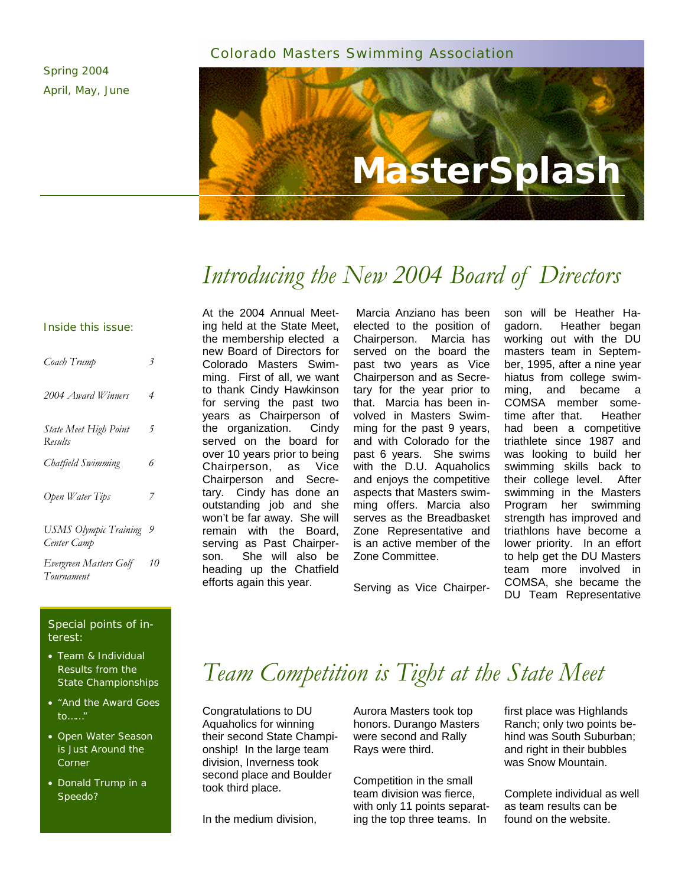## Colorado Masters Swimming Association

Spring 2004 April, May, June

# **MasterSplash**

# *Introducing the New 2004 Board of Directors*

#### Inside this issue:

| Coach Trump                                 | 3   |
|---------------------------------------------|-----|
| 2004 Award Winners                          | 4   |
| <b>State Meet High Point</b><br>Results     | 5   |
| Chatfield Swimming                          | 6   |
| Open Water Tips                             | 7   |
| <b>USMS Olympic Training</b><br>Center Camp | - 9 |
| Evergreen Masters Golf<br>Tournament        | 10  |

#### Special points of interest:

- Team & Individual Results from the State Championships
- "And the Award Goes to……"
- Open Water Season is Just Around the Corner
- Donald Trump in a Speedo?

At the 2004 Annual Meeting held at the State Meet, the membership elected a new Board of Directors for Colorado Masters Swimming. First of all, we want to thank Cindy Hawkinson for serving the past two years as Chairperson of the organization. Cindy served on the board for over 10 years prior to being Chairperson, as Vice Chairperson and Secretary. Cindy has done an outstanding job and she won't be far away. She will remain with the Board, serving as Past Chairperson. She will also be heading up the Chatfield efforts again this year.

Marcia Anziano has been elected to the position of Chairperson. Marcia has served on the board the past two years as Vice Chairperson and as Secretary for the year prior to that. Marcia has been involved in Masters Swimming for the past 9 years, and with Colorado for the past 6 years. She swims with the D.U. Aquaholics and enjoys the competitive aspects that Masters swimming offers. Marcia also serves as the Breadbasket Zone Representative and is an active member of the Zone Committee.

Serving as Vice Chairper-

son will be Heather Hagadorn. Heather began working out with the DU masters team in September, 1995, after a nine year hiatus from college swimming, and became a COMSA member sometime after that. Heather had been a competitive triathlete since 1987 and was looking to build her swimming skills back to their college level. After swimming in the Masters Program her swimming strength has improved and triathlons have become a lower priority. In an effort to help get the DU Masters team more involved in COMSA, she became the DU Team Representative

# *Team Competition is Tight at the State Meet*

Congratulations to DU Aquaholics for winning their second State Championship! In the large team division, Inverness took second place and Boulder took third place.

In the medium division,

Aurora Masters took top honors. Durango Masters were second and Rally Rays were third.

Competition in the small team division was fierce, with only 11 points separating the top three teams. In

first place was Highlands Ranch; only two points behind was South Suburban; and right in their bubbles was Snow Mountain.

Complete individual as well as team results can be found on the website.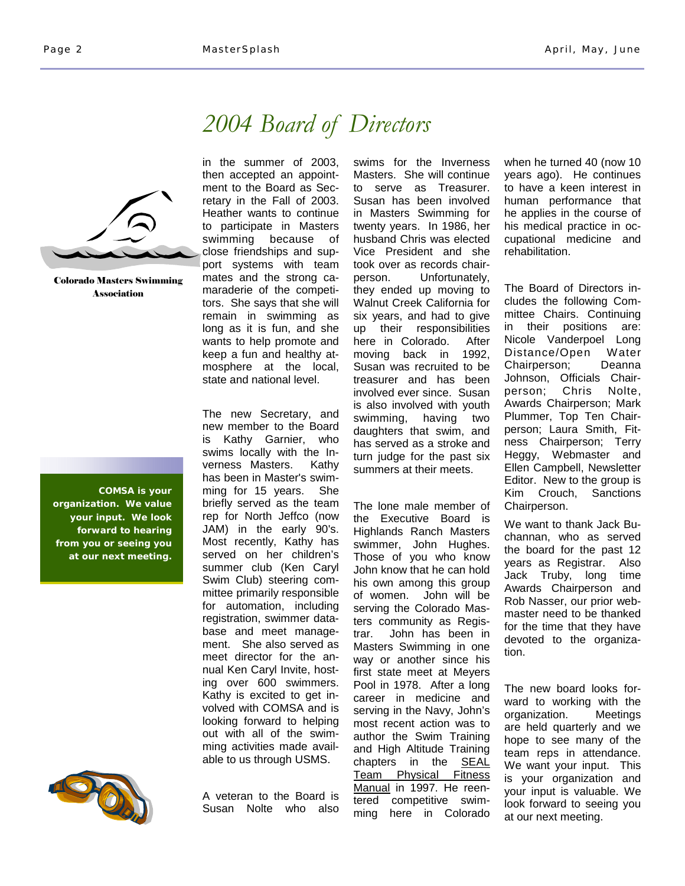in the summer of 2003, then accepted an appoint-

retary in the Fall of 2003.

maraderie of the competitors. She says that she will remain in swimming as long as it is fun, and she wants to help promote and keep a fun and healthy atmosphere at the local, state and national level.

The new Secretary, and new member to the Board is Kathy Garnier, who swims locally with the Inverness Masters. Kathy has been in Master's swimming for 15 years. She briefly served as the team rep for North Jeffco (now JAM) in the early 90's. Most recently, Kathy has served on her children's summer club (Ken Caryl Swim Club) steering committee primarily responsible for automation, including registration, swimmer database and meet management. She also served as meet director for the annual Ken Caryl Invite, hosting over 600 swimmers. Kathy is excited to get involved with COMSA and is looking forward to helping out with all of the swimming activities made available to us through USMS.

# *2004 Board of Directors*



Colorado Masters Swimming Association

**COMSA is your organization. We value your input. We look forward to hearing from you or seeing you at our next meeting.** 



A veteran to the Board is Susan Nolte who also swims for the Inverness Masters. She will continue to serve as Treasurer. Susan has been involved in Masters Swimming for twenty years. In 1986, her husband Chris was elected Vice President and she took over as records chairperson. Unfortunately, they ended up moving to Walnut Creek California for six years, and had to give up their responsibilities here in Colorado. After moving back in 1992, Susan was recruited to be treasurer and has been involved ever since. Susan is also involved with youth swimming, having two daughters that swim, and has served as a stroke and turn judge for the past six summers at their meets.

The lone male member of the Executive Board is Highlands Ranch Masters swimmer, John Hughes. Those of you who know John know that he can hold his own among this group of women. John will be serving the Colorado Masters community as Registrar. John has been in Masters Swimming in one way or another since his first state meet at Meyers Pool in 1978. After a long career in medicine and serving in the Navy, John's most recent action was to author the Swim Training and High Altitude Training chapters in the **SEAL** Team Physical Fitness Manual in 1997. He reentered competitive swimming here in Colorado when he turned 40 (now 10 years ago). He continues to have a keen interest in human performance that he applies in the course of his medical practice in occupational medicine and rehabilitation.

The Board of Directors includes the following Committee Chairs. Continuing in their positions are: Nicole Vanderpoel Long Distance/Open Water Chairperson; Deanna Johnson, Officials Chairperson; Chris Nolte, Awards Chairperson; Mark Plummer, Top Ten Chairperson; Laura Smith, Fitness Chairperson; Terry Heggy, Webmaster and Ellen Campbell, Newsletter Editor. New to the group is Kim Crouch, Sanctions Chairperson.

We want to thank Jack Buchannan, who as served the board for the past 12 years as Registrar. Also Jack Truby, long time Awards Chairperson and Rob Nasser, our prior webmaster need to be thanked for the time that they have devoted to the organization.

The new board looks forward to working with the organization. Meetings are held quarterly and we hope to see many of the team reps in attendance. We want your input. This is your organization and your input is valuable. We look forward to seeing you at our next meeting.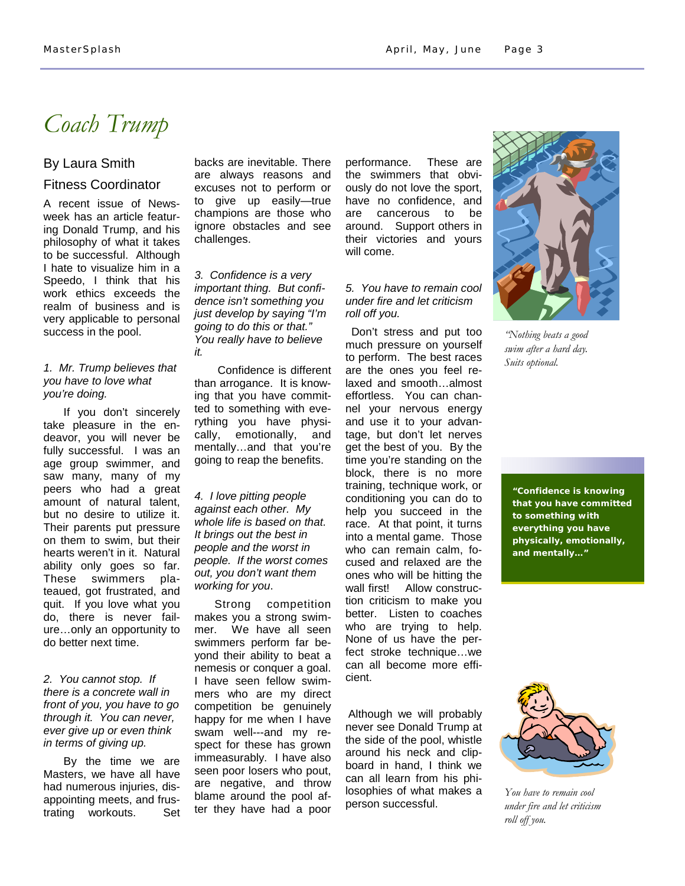## *Coach Trump*

## By Laura Smith Fitness Coordinator

A recent issue of Newsweek has an article featuring Donald Trump, and his philosophy of what it takes to be successful. Although I hate to visualize him in a Speedo, I think that his work ethics exceeds the realm of business and is very applicable to personal success in the pool.

#### *1. Mr. Trump believes that you have to love what you're doing.*

If you don't sincerely take pleasure in the endeavor, you will never be fully successful. I was an age group swimmer, and saw many, many of my peers who had a great amount of natural talent, but no desire to utilize it. Their parents put pressure on them to swim, but their hearts weren't in it. Natural ability only goes so far. These swimmers plateaued, got frustrated, and quit. If you love what you do, there is never failure…only an opportunity to do better next time.

#### *2. You cannot stop. If there is a concrete wall in front of you, you have to go through it. You can never, ever give up or even think in terms of giving up.*

By the time we are Masters, we have all have had numerous injuries, disappointing meets, and frustrating workouts. Set backs are inevitable. There are always reasons and excuses not to perform or to give up easily—true champions are those who ignore obstacles and see challenges.

*3. Confidence is a very important thing. But confidence isn't something you just develop by saying "I'm going to do this or that." You really have to believe it.*

 Confidence is different than arrogance. It is knowing that you have committed to something with everything you have physically, emotionally, and mentally…and that you're going to reap the benefits.

*4. I love pitting people against each other. My whole life is based on that. It brings out the best in people and the worst in people. If the worst comes out, you don't want them working for you*.

Strong competition makes you a strong swimmer. We have all seen swimmers perform far beyond their ability to beat a nemesis or conquer a goal. I have seen fellow swimmers who are my direct competition be genuinely happy for me when I have swam well---and my respect for these has grown immeasurably. I have also seen poor losers who pout, are negative, and throw blame around the pool after they have had a poor performance. These are the swimmers that obviously do not love the sport, have no confidence, and are cancerous to be around. Support others in their victories and yours will come.

## *5. You have to remain cool under fire and let criticism roll off you.*

 Don't stress and put too much pressure on yourself to perform. The best races are the ones you feel relaxed and smooth…almost effortless. You can channel your nervous energy and use it to your advantage, but don't let nerves get the best of you. By the time you're standing on the block, there is no more training, technique work, or conditioning you can do to help you succeed in the race. At that point, it turns into a mental game. Those who can remain calm, focused and relaxed are the ones who will be hitting the wall first! Allow construction criticism to make you better. Listen to coaches who are trying to help. None of us have the perfect stroke technique…we can all become more efficient.

Although we will probably never see Donald Trump at the side of the pool, whistle around his neck and clipboard in hand, I think we can all learn from his philosophies of what makes a person successful.



*"Nothing beats a good swim after a hard day. Suits optional.* 

**"Confidence is knowing that you have committed to something with everything you have physically, emotionally, and mentally…"** 



*You have to remain cool under fire and let criticism roll off you.*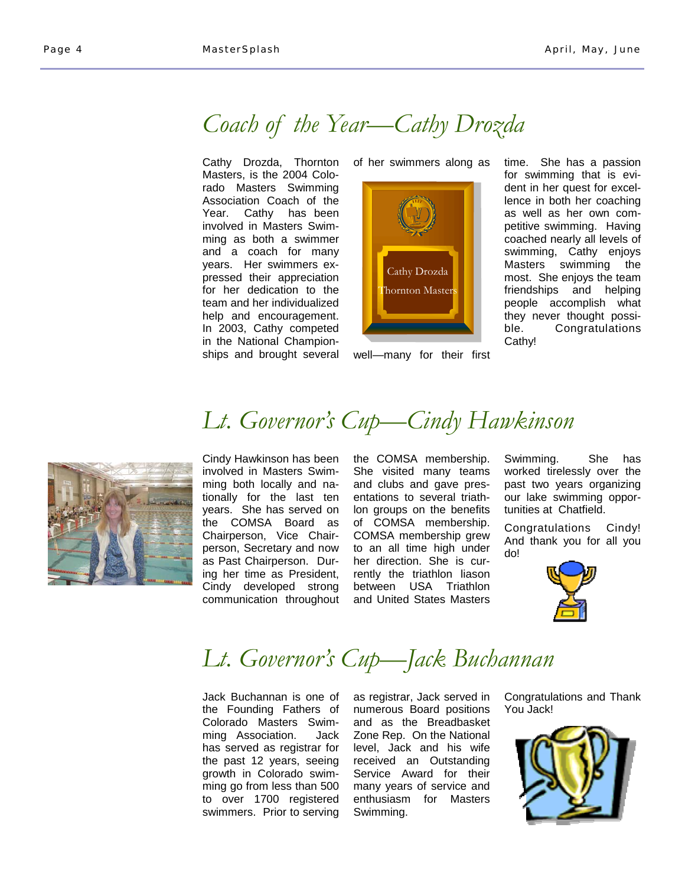## *Coach of the Year—Cathy Drozda*

Cathy Drozda, Thornton Masters, is the 2004 Colorado Masters Swimming Association Coach of the Year. Cathy has been involved in Masters Swimming as both a swimmer and a coach for many years. Her swimmers expressed their appreciation for her dedication to the team and her individualized help and encouragement. In 2003, Cathy competed in the National Championships and brought several

of her swimmers along as



well—many for their first

time. She has a passion for swimming that is evident in her quest for excellence in both her coaching as well as her own competitive swimming. Having coached nearly all levels of swimming, Cathy enjoys Masters swimming the most. She enjoys the team friendships and helping people accomplish what they never thought possible. Congratulations Cathy!

# *Lt. Governor's Cup—Cindy Hawkinson*



Cindy Hawkinson has been involved in Masters Swimming both locally and nationally for the last ten years. She has served on the COMSA Board as Chairperson, Vice Chairperson, Secretary and now as Past Chairperson. During her time as President, Cindy developed strong communication throughout the COMSA membership. She visited many teams and clubs and gave presentations to several triathlon groups on the benefits of COMSA membership. COMSA membership grew to an all time high under her direction. She is currently the triathlon liason between USA Triathlon and United States Masters

Swimming. She has worked tirelessly over the past two years organizing our lake swimming opportunities at Chatfield.

Congratulations Cindy! And thank you for all you do!



# *Lt. Governor's Cup—Jack Buchannan*

Jack Buchannan is one of the Founding Fathers of Colorado Masters Swimming Association. Jack has served as registrar for the past 12 years, seeing growth in Colorado swimming go from less than 500 to over 1700 registered swimmers. Prior to serving

as registrar, Jack served in numerous Board positions and as the Breadbasket Zone Rep. On the National level, Jack and his wife received an Outstanding Service Award for their many years of service and enthusiasm for Masters Swimming.

Congratulations and Thank You Jack!

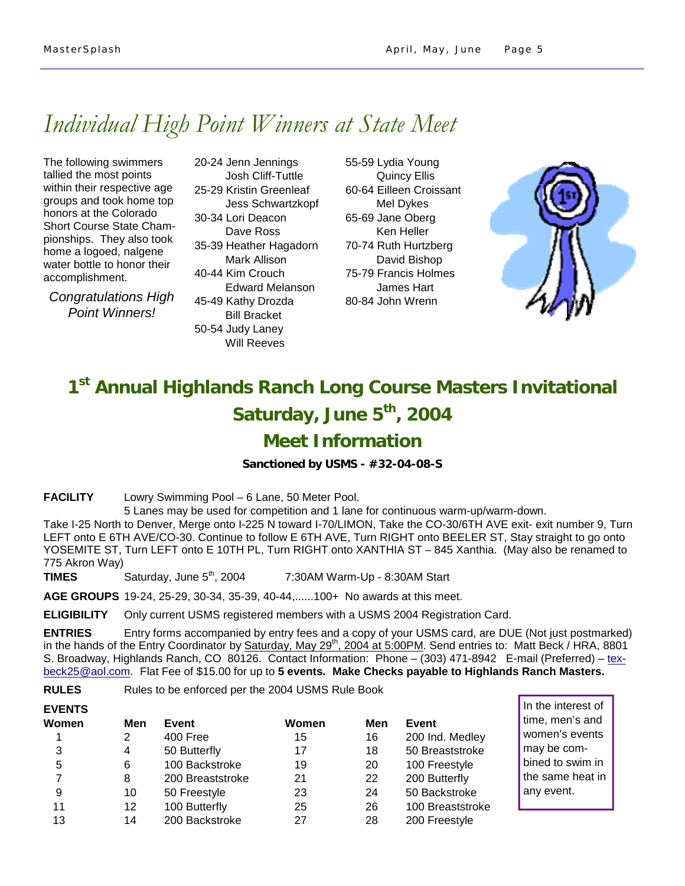# *Individual High Point Winners at State Meet*

The following swimmers tallied the most points within their respective age groups and took home top honors at the Colorado Short Course State Championships. They also took home a logoed, nalgene water bottle to honor their accomplishment.

*Congratulations High Point Winners!* 

775 Akron Way)

**EVENTS**

20-24 Jenn Jennings Josh Cliff-Tuttle 25-29 Kristin Greenleaf Jess Schwartzkopf 30-34 Lori Deacon Dave Ross 35-39 Heather Hagadorn Mark Allison 40-44 Kim Crouch Edward Melanson 45-49 Kathy Drozda Bill Bracket 50-54 Judy Laney Will Reeves

55-59 Lydia Young Quincy Ellis 60-64 Eilleen Croissant Mel Dykes 65-69 Jane Oberg Ken Heller 70-74 Ruth Hurtzberg David Bishop 75-79 Francis Holmes James Hart 80-84 John Wrenn



# **1st Annual Highlands Ranch Long Course Masters Invitational**  Saturday, June 5<sup>th</sup>, 2004

## **Meet Information**

**Sanctioned by USMS - #32-04-08-S** 

**FACILITY** Lowry Swimming Pool – 6 Lane, 50 Meter Pool.

 5 Lanes may be used for competition and 1 lane for continuous warm-up/warm-down. Take I-25 North to Denver, Merge onto I-225 N toward I-70/LIMON, Take the CO-30/6TH AVE exit- exit number 9, Turn LEFT onto E 6TH AVE/CO-30. Continue to follow E 6TH AVE, Turn RIGHT onto BEELER ST, Stay straight to go onto YOSEMITE ST, Turn LEFT onto E 10TH PL, Turn RIGHT onto XANTHIA ST – 845 Xanthia. (May also be renamed to

**TIMES** Saturday, June 5<sup>th</sup>, 2004 7:30AM Warm-Up - 8:30AM Start

**AGE GROUPS** 19-24, 25-29, 30-34, 35-39, 40-44,......100+ No awards at this meet.

**ELIGIBILITY** Only current USMS registered members with a USMS 2004 Registration Card.

**ENTRIES** Entry forms accompanied by entry fees and a copy of your USMS card, are DUE (Not just postmarked) in the hands of the Entry Coordinator by Saturday, May 29<sup>th</sup>, 2004 at 5:00PM. Send entries to: Matt Beck / HRA, 8801 S. Broadway, Highlands Ranch, CO 80126. Contact Information: Phone – (303) 471-8942 E-mail (Preferred) – texbeck25@aol.com. Flat Fee of \$15.00 for up to **5 events. Make Checks payable to Highlands Ranch Masters.** 

**RULES** Rules to be enforced per the 2004 USMS Rule Book

| EVENIS |     |                  |       |     |                  |
|--------|-----|------------------|-------|-----|------------------|
| Women  | Men | Event            | Women | Men | Event            |
|        | 2   | 400 Free         | 15    | 16  | 200 Ind. Medley  |
| 3      | 4   | 50 Butterfly     | 17    | 18  | 50 Breaststroke  |
| 5      | 6   | 100 Backstroke   | 19    | 20  | 100 Freestyle    |
|        | 8   | 200 Breaststroke | 21    | 22  | 200 Butterfly    |
| 9      | 10  | 50 Freestyle     | 23    | 24  | 50 Backstroke    |
| 11     | 12  | 100 Butterfly    | 25    | 26  | 100 Breaststroke |
| 13     | 14  | 200 Backstroke   | 27    | 28  | 200 Freestyle    |

In the interest of time, men's and women's events may be combined to swim in the same heat in any event.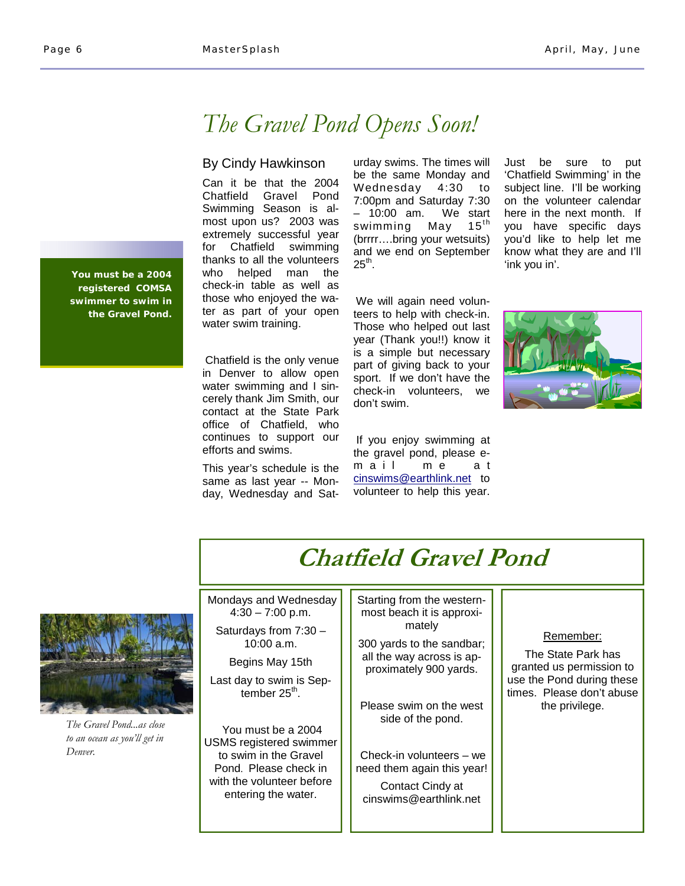## *The Gravel Pond Opens Soon!*

## By Cindy Hawkinson

Can it be that the 2004 Chatfield Gravel Pond Swimming Season is almost upon us? 2003 was extremely successful year for Chatfield swimming thanks to all the volunteers who helped man the check-in table as well as those who enjoyed the water as part of your open water swim training.

Chatfield is the only venue in Denver to allow open water swimming and I sincerely thank Jim Smith, our contact at the State Park office of Chatfield, who continues to support our efforts and swims.

This year's schedule is the same as last year -- Monday, Wednesday and Saturday swims. The times will be the same Monday and Wednesday 4:30 to 7:00pm and Saturday 7:30 – 10:00 am. We start swimming May  $15<sup>th</sup>$ (brrrr….bring your wetsuits) and we end on September  $25<sup>th</sup>$ .

We will again need volunteers to help with check-in. Those who helped out last year (Thank you!!) know it is a simple but necessary part of giving back to your sport. If we don't have the check-in volunteers, we don't swim.

If you enjoy swimming at the gravel pond, please em a ilme at cinswims@earthlink.net to volunteer to help this year.

Just be sure to put 'Chatfield Swimming' in the subject line. I'll be working on the volunteer calendar here in the next month. If you have specific days you'd like to help let me know what they are and I'll 'ink you in'.





*The Gravel Pond...as close to an ocean as you'll get in Denver.* 

#### Starting from the westernmost beach it is approximately 300 yards to the sandbar; all the way across is approximately 900 yards. Please swim on the west side of the pond. Check-in volunteers – we need them again this year! Contact Cindy at cinswims@earthlink.net Mondays and Wednesday  $4:30 - 7:00$  p.m. Saturdays from 7:30 – 10:00 a.m. Begins May 15th Last day to swim is September  $25<sup>th</sup>$ . You must be a 2004 USMS registered swimmer to swim in the Gravel Pond. Please check in with the volunteer before entering the water. Remember: The State Park has granted us permission to use the Pond during these times. Please don't abuse the privilege. **Chatfield Gravel Pond**

**You must be a 2004 registered COMSA swimmer to swim in the Gravel Pond.**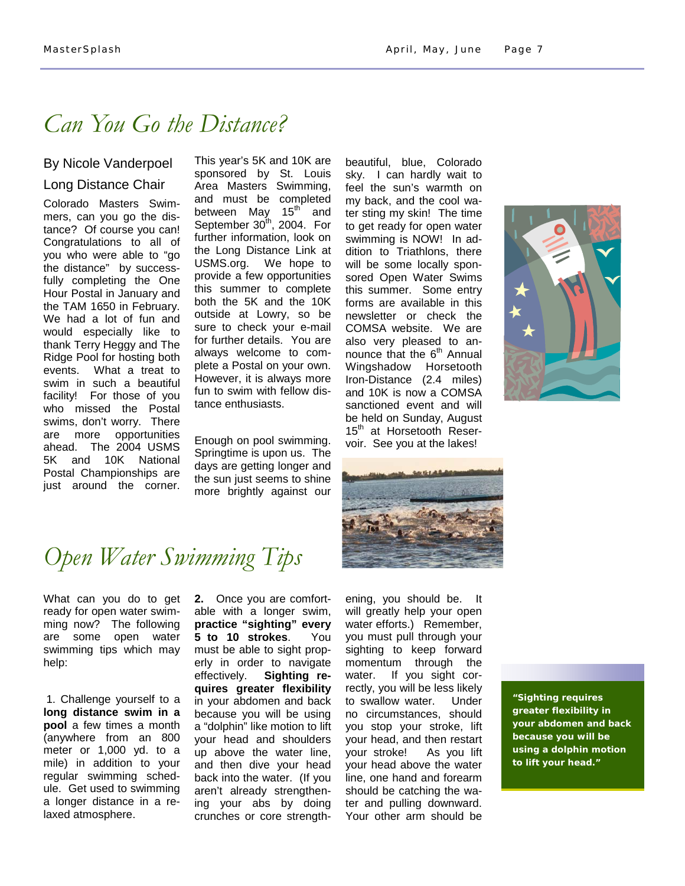## *Can You Go the Distance?*

## By Nicole Vanderpoel Long Distance Chair

Colorado Masters Swimmers, can you go the distance? Of course you can! Congratulations to all of you who were able to "go the distance" by successfully completing the One Hour Postal in January and the TAM 1650 in February. We had a lot of fun and would especially like to thank Terry Heggy and The Ridge Pool for hosting both events. What a treat to swim in such a beautiful facility! For those of you who missed the Postal swims, don't worry. There are more opportunities ahead. The 2004 USMS 5K and 10K National Postal Championships are just around the corner.

This year's 5K and 10K are sponsored by St. Louis Area Masters Swimming, and must be completed between May 15<sup>th</sup> and September  $30<sup>th</sup>$ , 2004. For further information, look on the Long Distance Link at USMS.org. We hope to provide a few opportunities this summer to complete both the 5K and the 10K outside at Lowry, so be sure to check your e-mail for further details. You are always welcome to complete a Postal on your own. However, it is always more fun to swim with fellow distance enthusiasts.

Enough on pool swimming. Springtime is upon us. The days are getting longer and the sun just seems to shine more brightly against our beautiful, blue, Colorado sky. I can hardly wait to feel the sun's warmth on my back, and the cool water sting my skin! The time to get ready for open water swimming is NOW! In addition to Triathlons, there will be some locally sponsored Open Water Swims this summer. Some entry forms are available in this newsletter or check the COMSA website. We are also very pleased to announce that the  $6<sup>th</sup>$  Annual Wingshadow Horsetooth Iron-Distance (2.4 miles) and 10K is now a COMSA sanctioned event and will be held on Sunday, August 15<sup>th</sup> at Horsetooth Reservoir. See you at the lakes!





# *Open Water Swimming Tips*

What can you do to get ready for open water swimming now? The following are some open water swimming tips which may help:

1. Challenge yourself to a **long distance swim in a pool** a few times a month (anywhere from an 800 meter or 1,000 yd. to a mile) in addition to your regular swimming schedule. Get used to swimming a longer distance in a relaxed atmosphere.

**2.** Once you are comfortable with a longer swim, **practice "sighting" every 5 to 10 strokes**. You must be able to sight properly in order to navigate effectively. **Sighting requires greater flexibility** in your abdomen and back because you will be using a "dolphin" like motion to lift your head and shoulders up above the water line, and then dive your head back into the water. (If you aren't already strengthening your abs by doing crunches or core strengthening, you should be. It will greatly help your open water efforts.) Remember, you must pull through your sighting to keep forward momentum through the water. If you sight correctly, you will be less likely to swallow water. Under no circumstances, should you stop your stroke, lift your head, and then restart your stroke! As you lift your head above the water line, one hand and forearm should be catching the water and pulling downward. Your other arm should be

**"Sighting requires greater flexibility in your abdomen and back because you will be using a dolphin motion to lift your head."**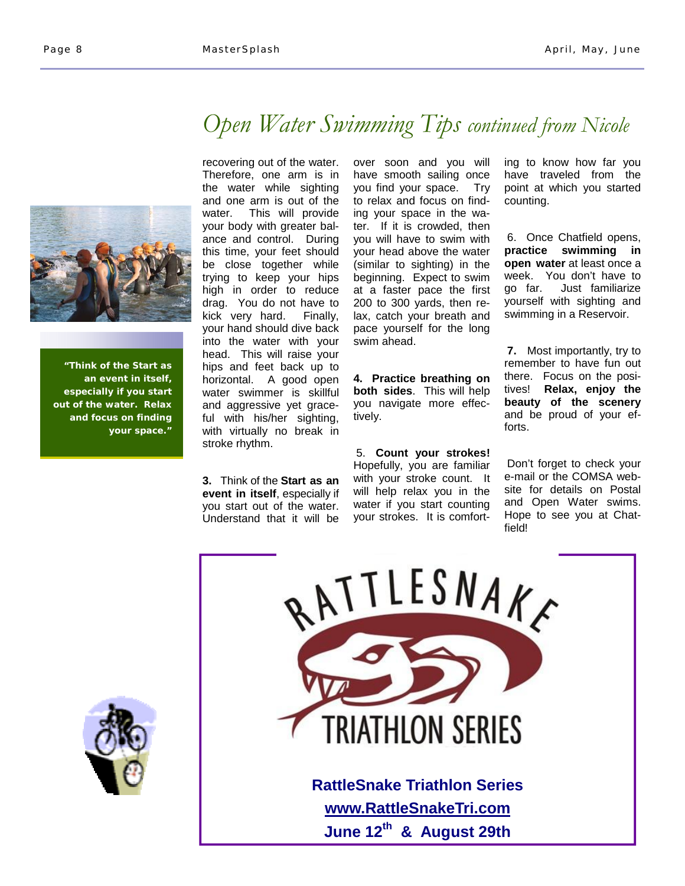

**"Think of the Start as an event in itself, especially if you start out of the water. Relax and focus on finding your space."** 

*Open Water Swimming Tips continued from Nicole*

recovering out of the water. Therefore, one arm is in the water while sighting and one arm is out of the water. This will provide your body with greater balance and control. During this time, your feet should be close together while trying to keep your hips high in order to reduce drag. You do not have to kick very hard. Finally, your hand should dive back into the water with your head. This will raise your hips and feet back up to horizontal. A good open water swimmer is skillful and aggressive yet graceful with his/her sighting, with virtually no break in stroke rhythm.

**3.** Think of the **Start as an event in itself**, especially if you start out of the water. Understand that it will be over soon and you will have smooth sailing once you find your space. Try to relax and focus on finding your space in the water. If it is crowded, then you will have to swim with your head above the water (similar to sighting) in the beginning. Expect to swim at a faster pace the first 200 to 300 yards, then relax, catch your breath and pace yourself for the long swim ahead.

**4. Practice breathing on both sides**. This will help you navigate more effectively.

5. **Count your strokes!** Hopefully, you are familiar with your stroke count. It will help relax you in the water if you start counting your strokes. It is comforting to know how far you have traveled from the point at which you started counting.

6. Once Chatfield opens, **practice swimming in open water** at least once a week. You don't have to go far. Just familiarize yourself with sighting and swimming in a Reservoir.

**7.** Most importantly, try to remember to have fun out there. Focus on the positives! **Relax, enjoy the beauty of the scenery** and be proud of your efforts.

Don't forget to check your e-mail or the COMSA website for details on Postal and Open Water swims. Hope to see you at Chatfield!



ESNAKE **RIATHLON SERIES RattleSnake Triathlon Series www.RattleSnakeTri.com June 12th & August 29th**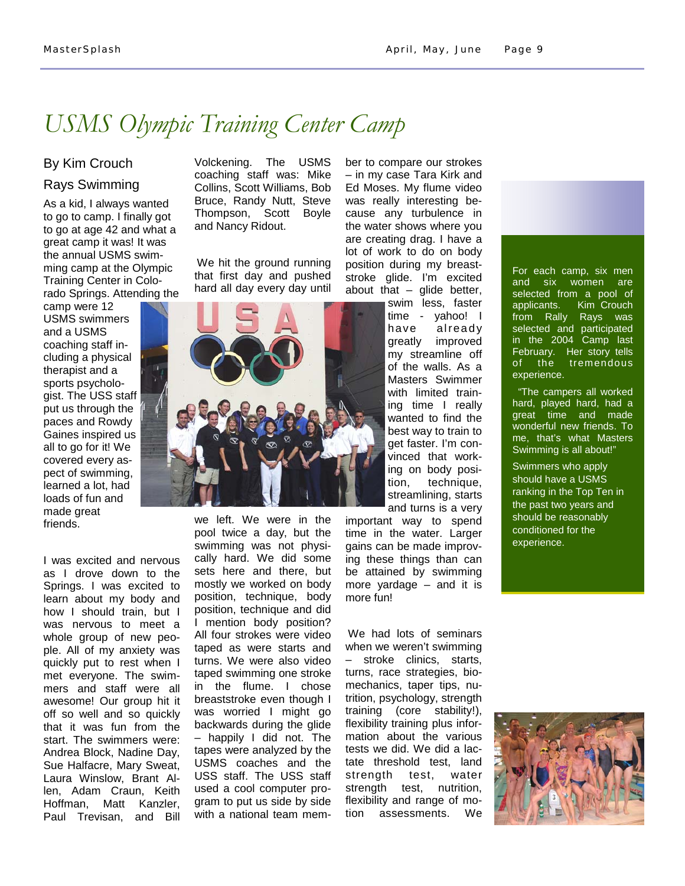## *USMS Olympic Training Center Camp*

## By Kim Crouch

## Rays Swimming

As a kid, I always wanted to go to camp. I finally got to go at age 42 and what a great camp it was! It was the annual USMS swimming camp at the Olympic Training Center in Colorado Springs. Attending the

camp were 12 USMS swimmers and a USMS coaching staff including a physical therapist and a sports psychologist. The USS staff put us through the paces and Rowdy Gaines inspired us all to go for it! We covered every aspect of swimming, learned a lot, had loads of fun and made great friends.

I was excited and nervous as I drove down to the Springs. I was excited to learn about my body and how I should train, but I was nervous to meet a whole group of new people. All of my anxiety was quickly put to rest when I met everyone. The swimmers and staff were all awesome! Our group hit it off so well and so quickly that it was fun from the start. The swimmers were: Andrea Block, Nadine Day, Sue Halfacre, Mary Sweat, Laura Winslow, Brant Allen, Adam Craun, Keith Hoffman, Matt Kanzler, Paul Trevisan, and Bill Volckening. The USMS coaching staff was: Mike Collins, Scott Williams, Bob Bruce, Randy Nutt, Steve Thompson, Scott Boyle and Nancy Ridout.

We hit the ground running that first day and pushed hard all day every day until



we left. We were in the pool twice a day, but the swimming was not physically hard. We did some sets here and there, but mostly we worked on body position, technique, body position, technique and did I mention body position? All four strokes were video taped as were starts and turns. We were also video taped swimming one stroke in the flume. I chose breaststroke even though I was worried I might go backwards during the glide – happily I did not. The tapes were analyzed by the USMS coaches and the USS staff. The USS staff used a cool computer program to put us side by side with a national team member to compare our strokes – in my case Tara Kirk and Ed Moses. My flume video was really interesting because any turbulence in the water shows where you are creating drag. I have a lot of work to do on body position during my breaststroke glide. I'm excited about that  $-$  glide better,

> swim less, faster time - yahoo! I have already greatly improved my streamline off of the walls. As a Masters Swimmer with limited training time I really wanted to find the best way to train to get faster. I'm convinced that working on body position, technique, streamlining, starts and turns is a very

important way to spend time in the water. Larger gains can be made improving these things than can be attained by swimming more yardage – and it is more fun!

We had lots of seminars when we weren't swimming – stroke clinics, starts, turns, race strategies, biomechanics, taper tips, nutrition, psychology, strength training (core stability!), flexibility training plus information about the various tests we did. We did a lactate threshold test, land strength test, water strength test, nutrition, flexibility and range of motion assessments. We



 "The campers all worked hard, played hard, had a great time and made wonderful new friends. To me, that's what Masters Swimming is all about!"

Swimmers who apply should have a USMS ranking in the Top Ten in the past two years and should be reasonably conditioned for the experience.

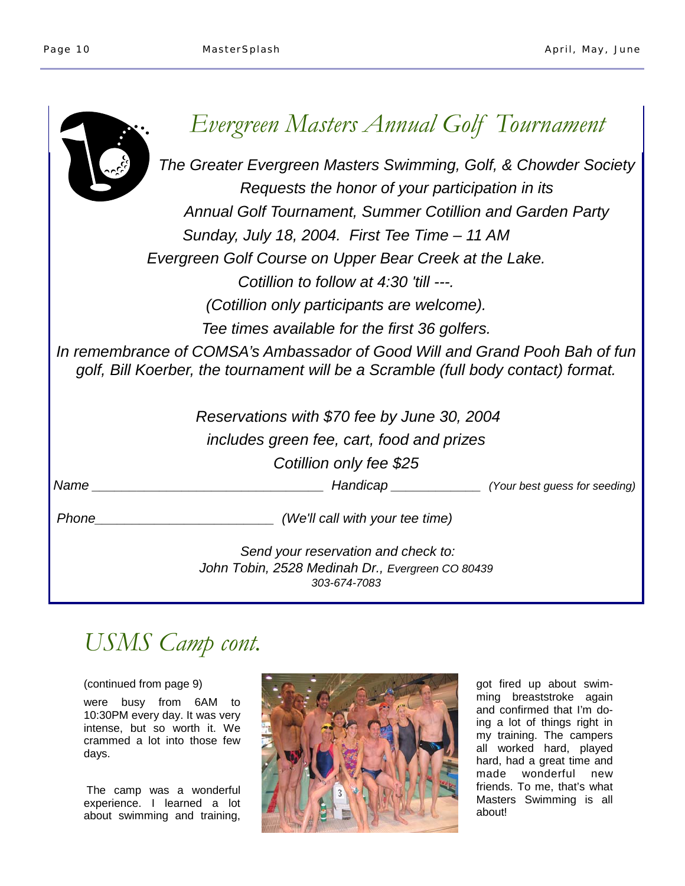| Evergreen Masters Annual Golf Tournament                                                                                                                         |  |  |  |  |
|------------------------------------------------------------------------------------------------------------------------------------------------------------------|--|--|--|--|
| The Greater Evergreen Masters Swimming, Golf, & Chowder Society                                                                                                  |  |  |  |  |
| Requests the honor of your participation in its                                                                                                                  |  |  |  |  |
| <b>Annual Golf Tournament, Summer Cotillion and Garden Party</b>                                                                                                 |  |  |  |  |
| Sunday, July 18, 2004. First Tee Time - 11 AM                                                                                                                    |  |  |  |  |
| Evergreen Golf Course on Upper Bear Creek at the Lake.                                                                                                           |  |  |  |  |
| Cotillion to follow at 4:30 'till ---.                                                                                                                           |  |  |  |  |
| (Cotillion only participants are welcome).                                                                                                                       |  |  |  |  |
| Tee times available for the first 36 golfers.                                                                                                                    |  |  |  |  |
| In remembrance of COMSA's Ambassador of Good Will and Grand Pooh Bah of fun<br>golf, Bill Koerber, the tournament will be a Scramble (full body contact) format. |  |  |  |  |
| Reservations with \$70 fee by June 30, 2004                                                                                                                      |  |  |  |  |
| includes green fee, cart, food and prizes                                                                                                                        |  |  |  |  |
| Cotillion only fee \$25                                                                                                                                          |  |  |  |  |
| Name<br>Handicap (Your best guess for seeding)                                                                                                                   |  |  |  |  |
| Phone<br>(We'll call with your tee time)                                                                                                                         |  |  |  |  |
| Send your reservation and check to:                                                                                                                              |  |  |  |  |
| John Tobin, 2528 Medinah Dr., Evergreen CO 80439<br>303-674-7083                                                                                                 |  |  |  |  |

# *USMS Camp cont.*

## (continued from page 9)

were busy from 6AM to 10:30PM every day. It was very intense, but so worth it. We crammed a lot into those few days.

The camp was a wonderful experience. I learned a lot about swimming and training,



got fired up about swimming breaststroke again and confirmed that I'm doing a lot of things right in my training. The campers all worked hard, played hard, had a great time and made wonderful new friends. To me, that's what Masters Swimming is all about!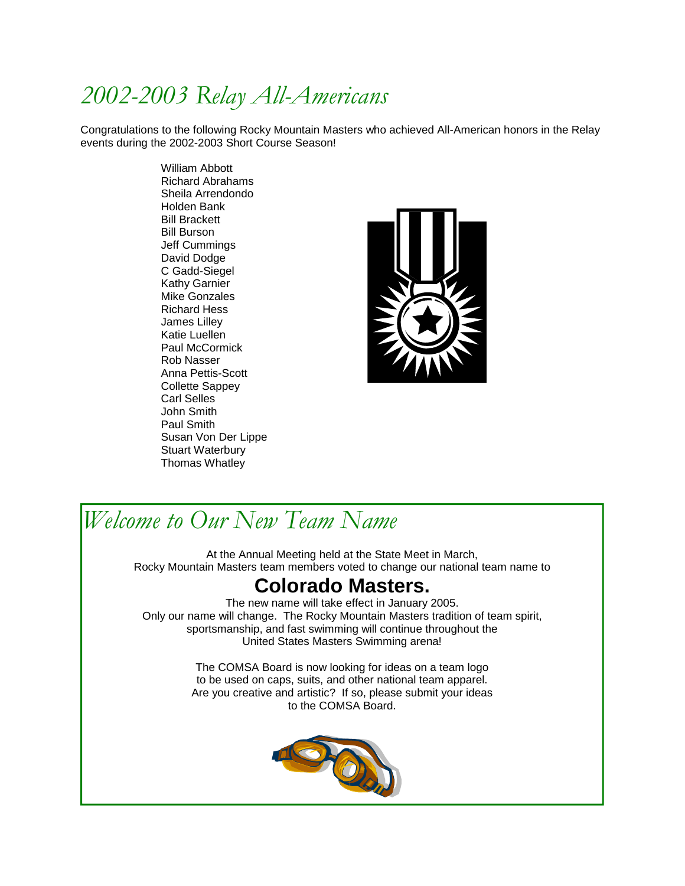# *2002-2003 Relay All-Americans*

Congratulations to the following Rocky Mountain Masters who achieved All-American honors in the Relay events during the 2002-2003 Short Course Season!

> William Abbott Richard Abrahams Sheila Arrendondo Holden Bank Bill Brackett Bill Burson Jeff Cummings David Dodge C Gadd-Siegel Kathy Garnier Mike Gonzales Richard Hess James Lilley Katie Luellen Paul McCormick Rob Nasser Anna Pettis-Scott Collette Sappey Carl Selles John Smith Paul Smith Susan Von Der Lippe Stuart Waterbury Thomas Whatley



## *Welcome to Our New Team Name*

At the Annual Meeting held at the State Meet in March, Rocky Mountain Masters team members voted to change our national team name to

## **Colorado Masters.**

The new name will take effect in January 2005. Only our name will change. The Rocky Mountain Masters tradition of team spirit, sportsmanship, and fast swimming will continue throughout the United States Masters Swimming arena!

> The COMSA Board is now looking for ideas on a team logo to be used on caps, suits, and other national team apparel. Are you creative and artistic? If so, please submit your ideas to the COMSA Board.

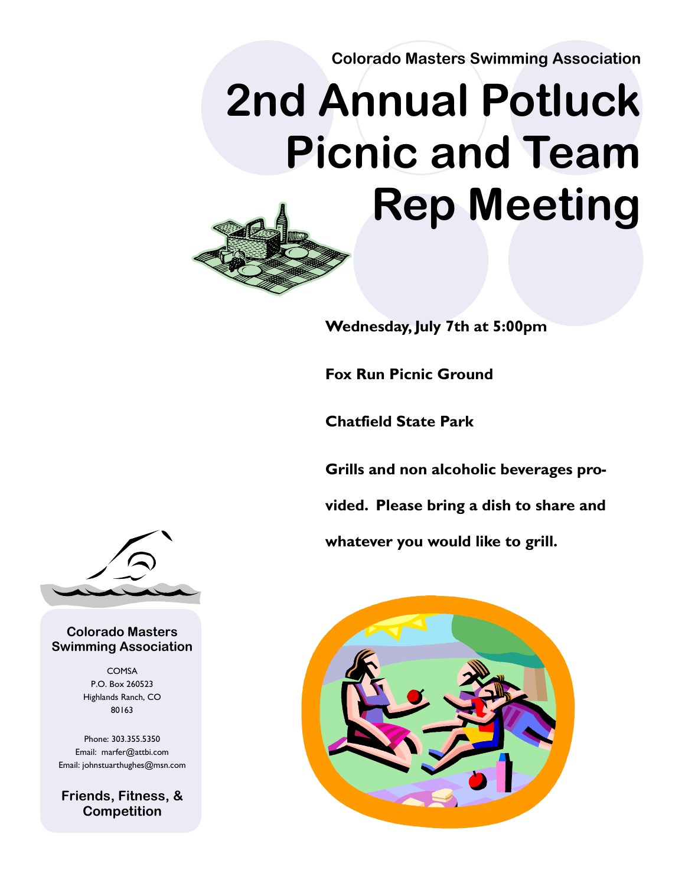**Colorado Masters Swimming Association** 

# **2nd Annual Potluck Picnic and Team Rep Meeting**



**Fox Run Picnic Ground** 

**Chatfield State Park** 

**Grills and non alcoholic beverages provided. Please bring a dish to share and whatever you would like to grill.** 





## **Colorado Masters Swimming Association**

COMSA P.O. Box 260523 Highlands Ranch, CO 80163

Phone: 303.355.5350 Email: marfer@attbi.com Email: johnstuarthughes@msn.com

**Friends, Fitness, & Competition**